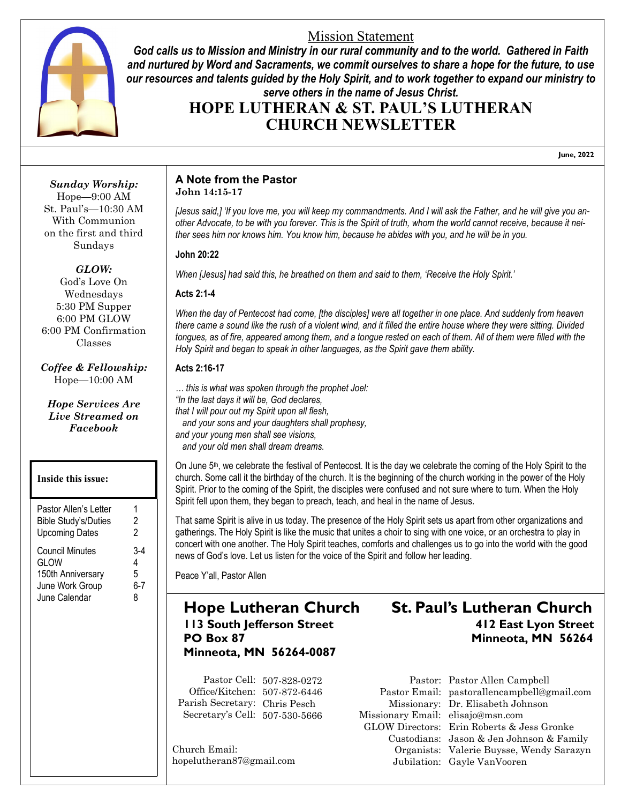### Mission Statement



*God calls us to Mission and Ministry in our rural community and to the world. Gathered in Faith and nurtured by Word and Sacraments, we commit ourselves to share a hope for the future, to use our resources and talents guided by the Holy Spirit, and to work together to expand our ministry to serve others in the name of Jesus Christ.*

# **HOPE LUTHERAN & ST. PAUL'S LUTHERAN CHURCH NEWSLETTER**

**June, 2022**

*Sunday Worship:* Hope—9:00 AM St. Paul's—10:30 AM With Communion on the first and third Sundays

#### *GLOW:*

God's Love On Wednesdays 5:30 PM Supper 6:00 PM GLOW 6:00 PM Confirmation Classes

*Coffee & Fellowship:* Hope—10:00 AM

*Hope Services Are Live Streamed on Facebook*

#### **Inside this issue:**

| Pastor Allen's Letter       | 1       |
|-----------------------------|---------|
| <b>Bible Study's/Duties</b> | 2       |
| <b>Upcoming Dates</b>       | 2       |
| <b>Council Minutes</b>      | З.      |
| <b>GLOW</b>                 | 4       |
| 150th Anniversary           | 5       |
| June Work Group             | $6 - 7$ |
| June Calendar               | 8       |

#### **A Note from the Pastor John 14:15-17**

*[Jesus said,] 'If you love me, you will keep my commandments. And I will ask the Father, and he will give you another Advocate, to be with you forever. This is the Spirit of truth, whom the world cannot receive, because it neither sees him nor knows him. You know him, because he abides with you, and he will be in you.*

#### **John 20:22**

*When [Jesus] had said this, he breathed on them and said to them, 'Receive the Holy Spirit.'*

#### **Acts 2:1-4**

*When the day of Pentecost had come, [the disciples] were all together in one place. And suddenly from heaven there came a sound like the rush of a violent wind, and it filled the entire house where they were sitting. Divided tongues, as of fire, appeared among them, and a tongue rested on each of them. All of them were filled with the Holy Spirit and began to speak in other languages, as the Spirit gave them ability.*

#### **Acts 2:16-17**

*… this is what was spoken through the prophet Joel: "In the last days it will be, God declares, that I will pour out my Spirit upon all flesh, and your sons and your daughters shall prophesy, and your young men shall see visions, and your old men shall dream dreams.*

On June 5th, we celebrate the festival of Pentecost. It is the day we celebrate the coming of the Holy Spirit to the church. Some call it the birthday of the church. It is the beginning of the church working in the power of the Holy Spirit. Prior to the coming of the Spirit, the disciples were confused and not sure where to turn. When the Holy Spirit fell upon them, they began to preach, teach, and heal in the name of Jesus.

That same Spirit is alive in us today. The presence of the Holy Spirit sets us apart from other organizations and gatherings. The Holy Spirit is like the music that unites a choir to sing with one voice, or an orchestra to play in concert with one another. The Holy Spirit teaches, comforts and challenges us to go into the world with the good news of God's love. Let us listen for the voice of the Spirit and follow her leading.

Peace Y'all, Pastor Allen

# **Minneota, MN 56264-0087**

Pastor Cell: 507-828-0272 Office/Kitchen: 507-872-6446 Parish Secretary: Chris Pesch Secretary's Cell: 507-530-5666

Church Email: hopelutheran87@gmail.com

# **Hope Lutheran Church St. Paul's Lutheran Church 113 South Jefferson Street 412 East Lyon Street PO Box 87 Minneota, MN 56264**

Missionary Email: elisajo@msn.com

Pastor: Pastor Allen Campbell Pastor Email: pastorallencampbell@gmail.com Missionary: Dr. Elisabeth Johnson GLOW Directors: Erin Roberts & Jess Gronke Custodians: Jason & Jen Johnson & Family Organists: Valerie Buysse, Wendy Sarazyn Jubilation: Gayle VanVooren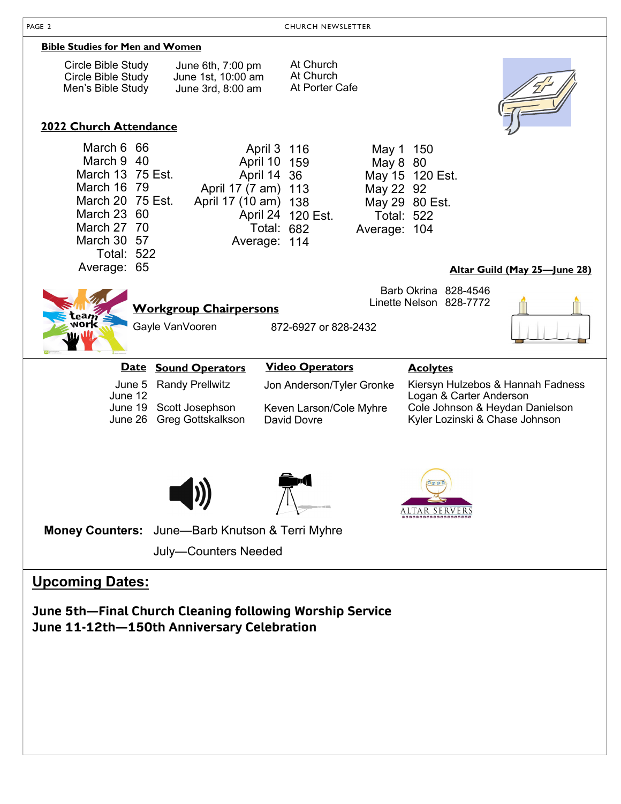| <b>Bible Studies for Men and Women</b>                                                                                                            |                                                                                            |                                                                                                |                                                                                                                                   |  |  |  |  |  |
|---------------------------------------------------------------------------------------------------------------------------------------------------|--------------------------------------------------------------------------------------------|------------------------------------------------------------------------------------------------|-----------------------------------------------------------------------------------------------------------------------------------|--|--|--|--|--|
| Circle Bible Study<br>Circle Bible Study<br>Men's Bible Study                                                                                     | June 6th, 7:00 pm<br>June 1st, 10:00 am<br>June 3rd, 8:00 am                               | At Church<br>At Church<br>At Porter Cafe                                                       |                                                                                                                                   |  |  |  |  |  |
| 2022 Church Attendance                                                                                                                            |                                                                                            |                                                                                                |                                                                                                                                   |  |  |  |  |  |
| March 6 66<br>March 9 40<br>March 13 75 Est.<br>March 16 79<br>March 20 75 Est.<br>March 23 60<br>March 27 70<br>March 30 57<br><b>Total: 522</b> | April 10 159<br>April 14 36<br>April 17 (7 am) 113<br>April 17 (10 am) 138<br>Average: 114 | April 3 116<br>May 8 80<br>May 22 92<br>April 24 120 Est.<br><b>Total: 682</b><br>Average: 104 | May 1 150<br>May 15 120 Est.<br>May 29 80 Est.<br><b>Total: 522</b>                                                               |  |  |  |  |  |
| Average: 65                                                                                                                                       |                                                                                            |                                                                                                | Altar Guild (May 25-June 28)                                                                                                      |  |  |  |  |  |
|                                                                                                                                                   | <b>Workgroup Chairpersons</b><br>Gayle VanVooren                                           | 872-6927 or 828-2432                                                                           | Barb Okrina 828-4546<br>Linette Nelson 828-7772                                                                                   |  |  |  |  |  |
|                                                                                                                                                   | Date Sound Operators                                                                       | <b>Video Operators</b>                                                                         | <b>Acolytes</b>                                                                                                                   |  |  |  |  |  |
| June 5<br>June 12                                                                                                                                 | <b>Randy Prellwitz</b><br>June 19 Scott Josephson<br>June 26 Greg Gottskalkson             | Jon Anderson/Tyler Gronke<br>Keven Larson/Cole Myhre<br><b>David Dovre</b>                     | Kiersyn Hulzebos & Hannah Fadness<br>Logan & Carter Anderson<br>Cole Johnson & Heydan Danielson<br>Kyler Lozinski & Chase Johnson |  |  |  |  |  |
|                                                                                                                                                   |                                                                                            |                                                                                                | ALTAR<br>SERVER                                                                                                                   |  |  |  |  |  |
|                                                                                                                                                   | Money Counters: June-Barb Knutson & Terri Myhre                                            |                                                                                                |                                                                                                                                   |  |  |  |  |  |
| <b>July-Counters Needed</b>                                                                                                                       |                                                                                            |                                                                                                |                                                                                                                                   |  |  |  |  |  |
|                                                                                                                                                   |                                                                                            |                                                                                                |                                                                                                                                   |  |  |  |  |  |

# **Upcoming Dates:**

**June 5th—Final Church Cleaning following Worship Service June 11-12th—150th Anniversary Celebration**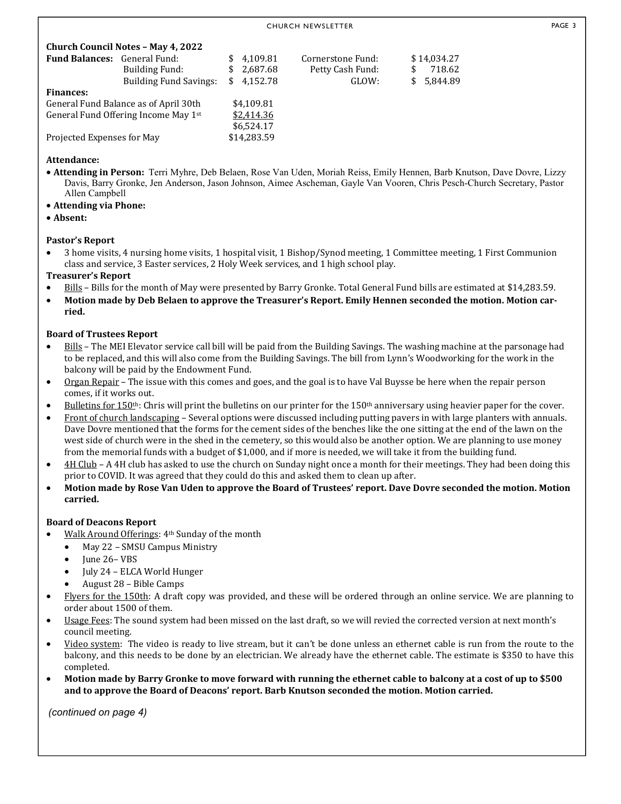| <b>Church Council Notes - May 4, 2022</b> |                               |             |            |                   |       |    |             |  |  |  |
|-------------------------------------------|-------------------------------|-------------|------------|-------------------|-------|----|-------------|--|--|--|
| <b>Fund Balances:</b> General Fund:       |                               |             | \$4.109.81 | Cornerstone Fund: |       |    | \$14,034.27 |  |  |  |
|                                           | Building Fund:                |             | \$2,687.68 | Petty Cash Fund:  |       | S  | 718.62      |  |  |  |
|                                           | <b>Building Fund Savings:</b> | \$          | 4,152.78   |                   | GLOW: | S. | 5,844.89    |  |  |  |
| <b>Finances:</b>                          |                               |             |            |                   |       |    |             |  |  |  |
| General Fund Balance as of April 30th     |                               | \$4,109.81  |            |                   |       |    |             |  |  |  |
| General Fund Offering Income May 1st      |                               | \$2,414.36  |            |                   |       |    |             |  |  |  |
|                                           |                               |             | \$6,524.17 |                   |       |    |             |  |  |  |
| Projected Expenses for May                |                               | \$14,283.59 |            |                   |       |    |             |  |  |  |

#### **Attendance:**

- $\bullet$  Attending in Person: Terri Myhre, Deb Belaen, Rose Van Uden, Moriah Reiss, Emily Hennen, Barb Knutson, Dave Dovre, Lizzy Davis, Barry Gronke, Jen Anderson, Jason Johnson, Aimee Ascheman, Gayle Van Vooren, Chris Pesch-Church Secretary, Pastor Allen Campbell
- Attending via Phone:
- **Absent:**

#### **Pastor's Report**

 3 home visits, 4 nursing home visits, 1 hospital visit, 1 Bishop/Synod meeting, 1 Committee meeting, 1 First Communion class and service, 3 Easter services, 2 Holy Week services, and 1 high school play.

#### **Treasurer's Report**

- Bills Bills for the month of May were presented by Barry Gronke. Total General Fund bills are estimated at \$14,283.59.
- Motion made by Deb Belaen to approve the Treasurer's Report. Emily Hennen seconded the motion. Motion car**ried.**

#### **Board of Trustees Report**

- Bills The MEI Elevator service call bill will be paid from the Building Savings. The washing machine at the parsonage had to be replaced, and this will also come from the Building Savings. The bill from Lynn's Woodworking for the work in the balcony will be paid by the Endowment Fund.
- Organ Repair The issue with this comes and goes, and the goal is to have Val Buysse be here when the repair person comes, if it works out.
- Bulletins for  $150$ <sup>th</sup>: Chris will print the bulletins on our printer for the  $150$ <sup>th</sup> anniversary using heavier paper for the cover.
- Front of church landscaping Several options were discussed including putting pavers in with large planters with annuals. Dave Dovre mentioned that the forms for the cement sides of the benches like the one sitting at the end of the lawn on the west side of church were in the shed in the cemetery, so this would also be another option. We are planning to use money from the memorial funds with a budget of \$1,000, and if more is needed, we will take it from the building fund.
- 4H Club A 4H club has asked to use the church on Sunday night once a month for their meetings. They had been doing this prior to COVID. It was agreed that they could do this and asked them to clean up after.
- Motion made by Rose Van Uden to approve the Board of Trustees' report. Dave Dovre seconded the motion. Motion **carried.**

#### **Board of Deacons Report**

- Walk Around Offerings: 4th Sunday of the month
	- May 22 SMSU Campus Ministry
	- June 26– VBS
	- July 24 ELCA World Hunger
	- August 28 Bible Camps
- Flyers for the 150th: A draft copy was provided, and these will be ordered through an online service. We are planning to order about 1500 of them.
- Usage Fees: The sound system had been missed on the last draft, so we will revied the corrected version at next month's council meeting.
- Video system: The video is ready to live stream, but it can't be done unless an ethernet cable is run from the route to the balcony, and this needs to be done by an electrician. We already have the ethernet cable. The estimate is \$350 to have this completed.
- Motion made by Barry Gronke to move forward with running the ethernet cable to balcony at a cost of up to \$500 and to approve the Board of Deacons' report. Barb Knutson seconded the motion. Motion carried.

*(continued on page 4)*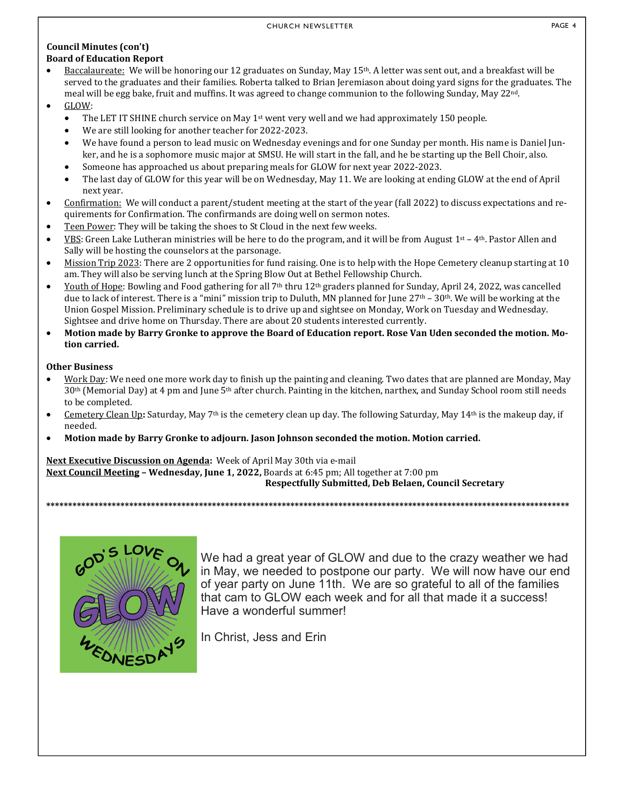#### **Council Minutes (con't) Board of Education Report**

- $\bullet$  Baccalaureate: We will be honoring our 12 graduates on Sunday, May 15<sup>th</sup>. A letter was sent out, and a breakfast will be served to the graduates and their families. Roberta talked to Brian Jeremiason about doing yard signs for the graduates. The meal will be egg bake, fruit and muffins. It was agreed to change communion to the following Sunday, May 22nd.
- GLOW:
	- The LET IT SHINE church service on May 1<sup>st</sup> went very well and we had approximately 150 people.
	- We are still looking for another teacher for 2022-2023.
	- We have found a person to lead music on Wednesday evenings and for one Sunday per month. His name is Daniel Junker, and he is a sophomore music major at SMSU. He will start in the fall, and he be starting up the Bell Choir, also.
	- Someone has approached us about preparing meals for GLOW for next year 2022-2023.
	- The last day of GLOW for this year will be on Wednesday, May 11. We are looking at ending GLOW at the end of April next year.
- Confirmation: We will conduct a parent/student meeting at the start of the year (fall 2022) to discuss expectations and requirements for Confirmation. The confirmands are doing well on sermon notes.
- Teen Power: They will be taking the shoes to St Cloud in the next few weeks.
- VBS: Green Lake Lutheran ministries will be here to do the program, and it will be from August  $1^{st} 4^{th}$ . Pastor Allen and Sally will be hosting the counselors at the parsonage.
- Mission Trip 2023: There are 2 opportunities for fund raising. One is to help with the Hope Cemetery cleanup starting at 10 am. They will also be serving lunch at the Spring Blow Out at Bethel Fellowship Church.
- $\bullet$  Youth of Hope: Bowling and Food gathering for all 7<sup>th</sup> thru 12<sup>th</sup> graders planned for Sunday, April 24, 2022, was cancelled due to lack of interest. There is a "mini" mission trip to Duluth, MN planned for June 27<sup>th</sup> – 30<sup>th</sup>. We will be working at the Union Gospel Mission. Preliminary schedule is to drive up and sightsee on Monday, Work on Tuesday and Wednesday. Sightsee and drive home on Thursday. There are about 20 students interested currently.
- Motion made by Barry Gronke to approve the Board of Education report. Rose Van Uden seconded the motion. Mo**tion carried.**

#### **Other Business**

- Work Day: We need one more work day to finish up the painting and cleaning. Two dates that are planned are Monday, May 30th (Memorial Day) at 4 pm and June 5th after church. Painting in the kitchen, narthex, and Sunday School room still needs to be completed.
- Cemetery Clean Up: Saturday, May 7<sup>th</sup> is the cemetery clean up day. The following Saturday, May 14<sup>th</sup> is the makeup day, if needed.

**\*\*\*\*\*\*\*\*\*\*\*\*\*\*\*\*\*\*\*\*\*\*\*\*\*\*\*\*\*\*\*\*\*\*\*\*\*\*\*\*\*\*\*\*\*\*\*\*\*\*\*\*\*\*\*\*\*\*\*\*\*\*\*\*\*\*\*\*\*\*\*\*\*\*\*\*\*\*\*\*\*\*\*\*\*\*\*\*\*\*\*\*\*\*\*\*\*\*\*\*\*\*\*\*\*\*\*\*\*\*\*\*\*\*\*\*\*\*\*\***

• Motion made by Barry Gronke to adjourn. Jason Johnson seconded the motion. Motion carried.

#### Next Executive Discussion on Agenda: Week of April May 30th via e-mail **Next Council Meeting - Wednesday, June 1, 2022, Boards at 6:45 pm; All together at 7:00 pm**

#### **Respectfully Submitted, Deb Belaen, Council Secretary**

WEDNESDAYS

We had a great year of GLOW and due to the crazy weather we had in May, we needed to postpone our party. We will now have our end of year party on June 11th. We are so grateful to all of the families that cam to GLOW each week and for all that made it a success! Have a wonderful summer!

In Christ, Jess and Erin